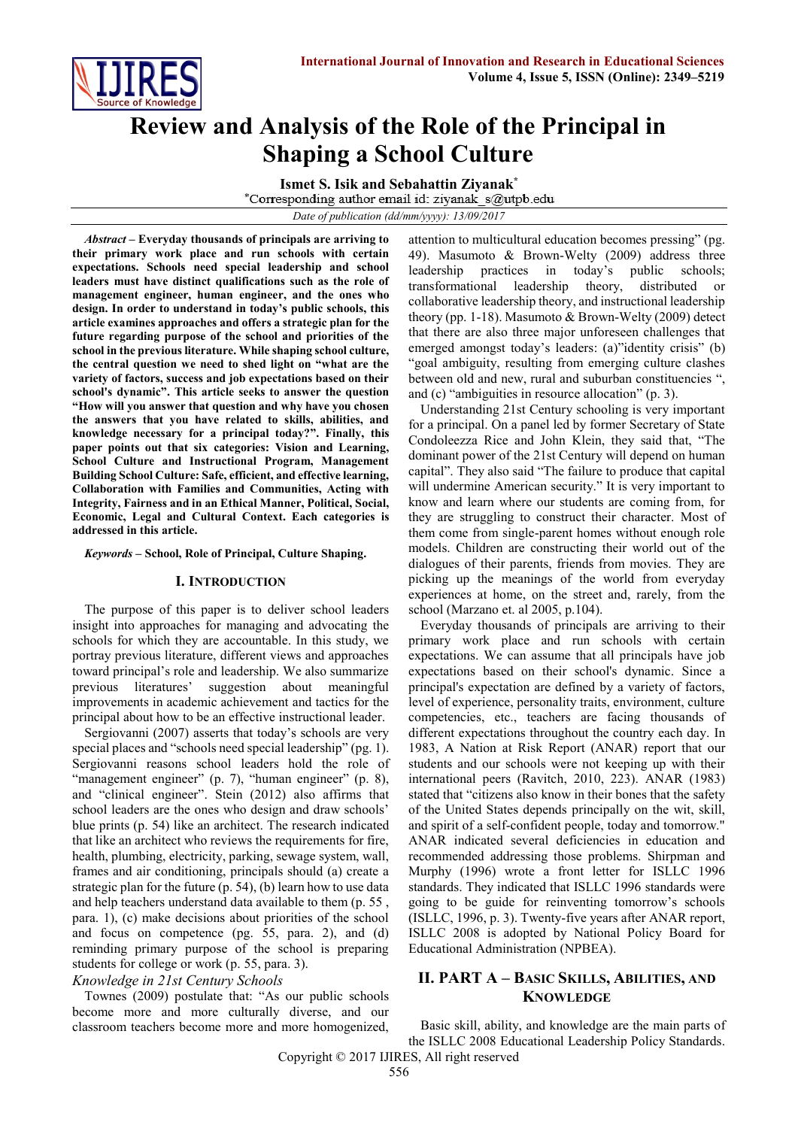

# **Review and Analysis of the Role of the Principal in Shaping a School Culture**

**Ismet S. Isik and Sebahattin Ziyanak\***

*Date of publication (dd/mm/yyyy): 13/09/2017*

*Abstract* **– Everyday thousands of principals are arriving to their primary work place and run schools with certain expectations. Schools need special leadership and school leaders must have distinct qualifications such as the role of management engineer, human engineer, and the ones who design. In order to understand in today's public schools, this article examines approaches and offers a strategic plan for the future regarding purpose of the school and priorities of the school in the previous literature. While shaping school culture, the central question we need to shed light on "what are the variety of factors, success and job expectations based on their school's dynamic". This article seeks to answer the question "How will you answer that question and why have you chosen the answers that you have related to skills, abilities, and knowledge necessary for a principal today?". Finally, this paper points out that six categories: Vision and Learning, School Culture and Instructional Program, Management Building School Culture: Safe, efficient, and effective learning, Collaboration with Families and Communities, Acting with Integrity, Fairness and in an Ethical Manner, Political, Social, Economic, Legal and Cultural Context. Each categories is addressed in this article.** 

*Keywords* **– School, Role of Principal, Culture Shaping.**

#### **I. INTRODUCTION**

The purpose of this paper is to deliver school leaders insight into approaches for managing and advocating the schools for which they are accountable. In this study, we portray previous literature, different views and approaches toward principal's role and leadership. We also summarize previous literatures' suggestion about meaningful improvements in academic achievement and tactics for the principal about how to be an effective instructional leader.

Sergiovanni (2007) asserts that today's schools are very special places and "schools need special leadership" (pg. 1). Sergiovanni reasons school leaders hold the role of "management engineer" (p. 7), "human engineer" (p. 8), and "clinical engineer". Stein (2012) also affirms that school leaders are the ones who design and draw schools' blue prints (p. 54) like an architect. The research indicated that like an architect who reviews the requirements for fire, health, plumbing, electricity, parking, sewage system, wall, frames and air conditioning, principals should (a) create a strategic plan for the future (p. 54), (b) learn how to use data and help teachers understand data available to them (p. 55 , para. 1), (c) make decisions about priorities of the school and focus on competence (pg. 55, para. 2), and (d) reminding primary purpose of the school is preparing students for college or work (p. 55, para. 3).

# *Knowledge in 21st Century Schools*

Townes (2009) postulate that: "As our public schools become more and more culturally diverse, and our classroom teachers become more and more homogenized, attention to multicultural education becomes pressing" (pg. 49). Masumoto & Brown-Welty (2009) address three leadership practices in today's public schools; transformational leadership theory, distributed or collaborative leadership theory, and instructional leadership theory (pp. 1-18). Masumoto & Brown-Welty (2009) detect that there are also three major unforeseen challenges that emerged amongst today's leaders: (a)"identity crisis" (b) "goal ambiguity, resulting from emerging culture clashes between old and new, rural and suburban constituencies ", and (c) "ambiguities in resource allocation" (p. 3).

Understanding 21st Century schooling is very important for a principal. On a panel led by former Secretary of State Condoleezza Rice and John Klein, they said that, "The dominant power of the 21st Century will depend on human capital". They also said "The failure to produce that capital will undermine American security." It is very important to know and learn where our students are coming from, for they are struggling to construct their character. Most of them come from single-parent homes without enough role models. Children are constructing their world out of the dialogues of their parents, friends from movies. They are picking up the meanings of the world from everyday experiences at home, on the street and, rarely, from the school (Marzano et. al 2005, p.104).

Everyday thousands of principals are arriving to their primary work place and run schools with certain expectations. We can assume that all principals have job expectations based on their school's dynamic. Since a principal's expectation are defined by a variety of factors, level of experience, personality traits, environment, culture competencies, etc., teachers are facing thousands of different expectations throughout the country each day. In 1983, A Nation at Risk Report (ANAR) report that our students and our schools were not keeping up with their international peers (Ravitch, 2010, 223). ANAR (1983) stated that "citizens also know in their bones that the safety of the United States depends principally on the wit, skill, and spirit of a self-confident people, today and tomorrow." ANAR indicated several deficiencies in education and recommended addressing those problems. Shirpman and Murphy (1996) wrote a front letter for ISLLC 1996 standards. They indicated that ISLLC 1996 standards were going to be guide for reinventing tomorrow's schools (ISLLC, 1996, p. 3). Twenty-five years after ANAR report, ISLLC 2008 is adopted by National Policy Board for Educational Administration (NPBEA).

# **II. PART A – BASIC SKILLS, ABILITIES, AND KNOWLEDGE**

Basic skill, ability, and knowledge are the main parts of the ISLLC 2008 Educational Leadership Policy Standards.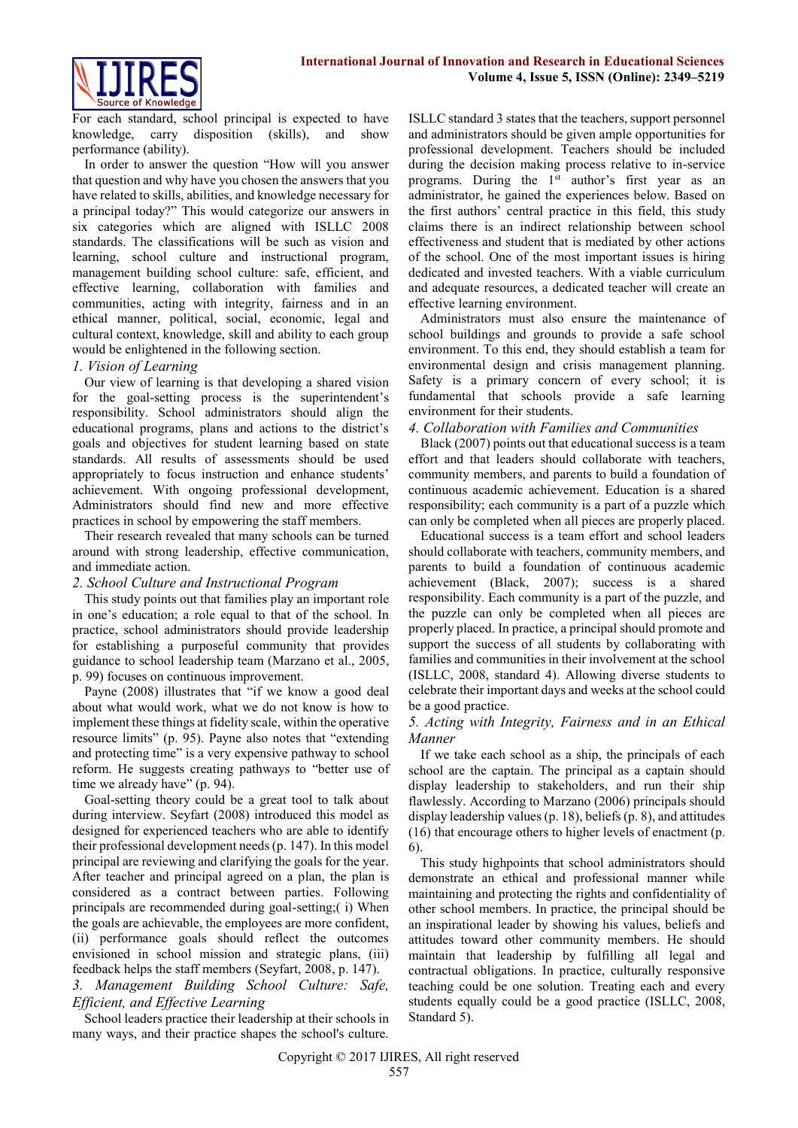

For each standard, school principal is expected to have knowledge, carry disposition (skills), and show performance (ability).

In order to answer the question "How will you answer that question and why have you chosen the answers that you have related to skills, abilities, and knowledge necessary for a principal today?" This would categorize our answers in six categories which are aligned with ISLLC 2008 standards. The classifications will be such as vision and learning, school culture and instructional program, management building school culture: safe, efficient, and effective learning, collaboration with families and communities, acting with integrity, fairness and in an ethical manner, political, social, economic, legal and cultural context, knowledge, skill and ability to each group would be enlightened in the following section.

# *1. Vision of Learning*

Our view of learning is that developing a shared vision for the goal-setting process is the superintendent's responsibility. School administrators should align the educational programs, plans and actions to the district's goals and objectives for student learning based on state standards. All results of assessments should be used appropriately to focus instruction and enhance students' achievement. With ongoing professional development, Administrators should find new and more effective practices in school by empowering the staff members.

Their research revealed that many schools can be turned around with strong leadership, effective communication, and immediate action.

# *2. School Culture and Instructional Program*

This study points out that families play an important role in one's education; a role equal to that of the school. In practice, school administrators should provide leadership for establishing a purposeful community that provides guidance to school leadership team (Marzano et al., 2005, p. 99) focuses on continuous improvement.

Payne (2008) illustrates that "if we know a good deal about what would work, what we do not know is how to implement these things at fidelity scale, within the operative resource limits" (p. 95). Payne also notes that "extending and protecting time" is a very expensive pathway to school reform. He suggests creating pathways to "better use of time we already have" (p. 94).

Goal-setting theory could be a great tool to talk about during interview. Seyfart (2008) introduced this model as designed for experienced teachers who are able to identify their professional development needs (p. 147). In this model principal are reviewing and clarifying the goals for the year. After teacher and principal agreed on a plan, the plan is considered as a contract between parties. Following principals are recommended during goal-setting;( i) When the goals are achievable, the employees are more confident, (ii) performance goals should reflect the outcomes envisioned in school mission and strategic plans, (iii) feedback helps the staff members (Seyfart, 2008, p. 147). *3. Management Building School Culture: Safe, Efficient, and Effective Learning*

School leaders practice their leadership at their schools in many ways, and their practice shapes the school's culture.

ISLLC standard 3 states that the teachers, support personnel and administrators should be given ample opportunities for professional development. Teachers should be included during the decision making process relative to in-service programs. During the 1<sup>st</sup> author's first year as an administrator, he gained the experiences below. Based on the first authors' central practice in this field, this study claims there is an indirect relationship between school effectiveness and student that is mediated by other actions of the school. One of the most important issues is hiring dedicated and invested teachers. With a viable curriculum and adequate resources, a dedicated teacher will create an effective learning environment.

Administrators must also ensure the maintenance of school buildings and grounds to provide a safe school environment. To this end, they should establish a team for environmental design and crisis management planning. Safety is a primary concern of every school; it is fundamental that schools provide a safe learning environment for their students.

#### *4. Collaboration with Families and Communities*

Black (2007) points out that educational success is a team effort and that leaders should collaborate with teachers, community members, and parents to build a foundation of continuous academic achievement. Education is a shared responsibility; each community is a part of a puzzle which can only be completed when all pieces are properly placed.

Educational success is a team effort and school leaders should collaborate with teachers, community members, and parents to build a foundation of continuous academic achievement (Black, 2007); success is a shared responsibility. Each community is a part of the puzzle, and the puzzle can only be completed when all pieces are properly placed. In practice, a principal should promote and support the success of all students by collaborating with families and communities in their involvement at the school (ISLLC, 2008, standard 4). Allowing diverse students to celebrate their important days and weeks at the school could be a good practice.

#### *5. Acting with Integrity, Fairness and in an Ethical Manner*

If we take each school as a ship, the principals of each school are the captain. The principal as a captain should display leadership to stakeholders, and run their ship flawlessly. According to Marzano (2006) principals should display leadership values(p. 18), beliefs(p. 8), and attitudes (16) that encourage others to higher levels of enactment (p. 6).

This study highpoints that school administrators should demonstrate an ethical and professional manner while maintaining and protecting the rights and confidentiality of other school members. In practice, the principal should be an inspirational leader by showing his values, beliefs and attitudes toward other community members. He should maintain that leadership by fulfilling all legal and contractual obligations. In practice, culturally responsive teaching could be one solution. Treating each and every students equally could be a good practice (ISLLC, 2008, Standard 5).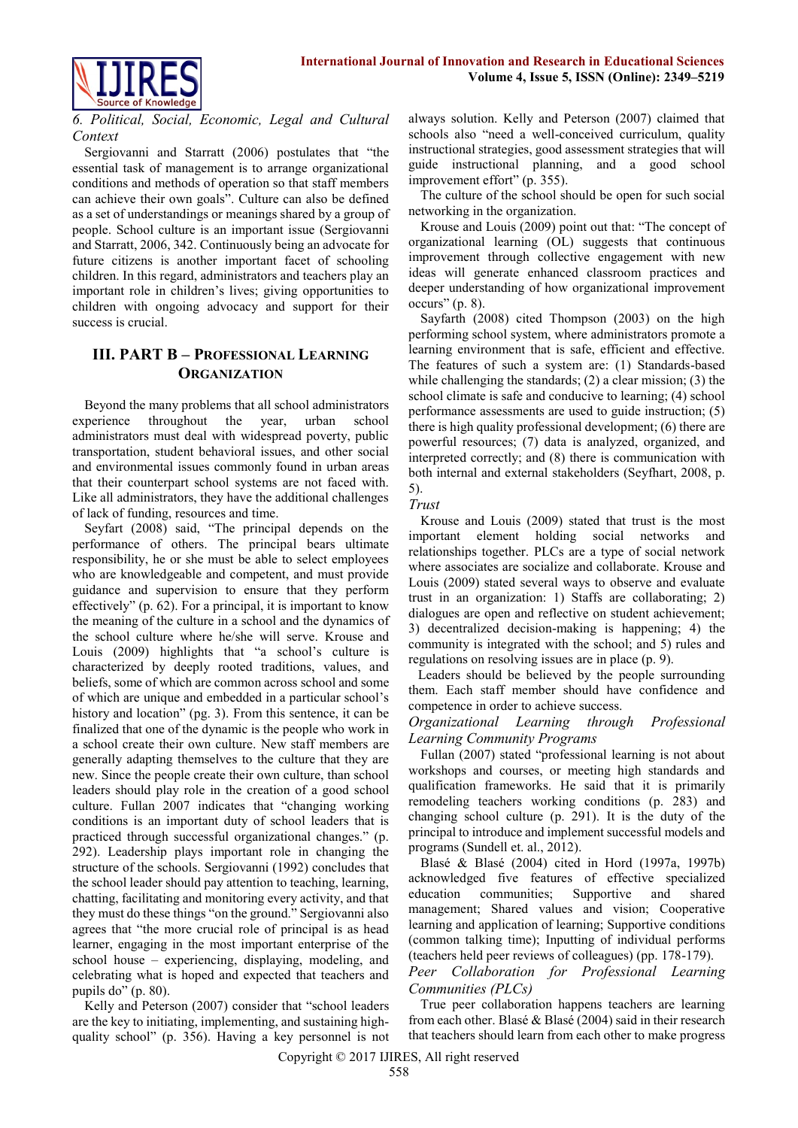

# *6. Political, Social, Economic, Legal and Cultural Context*

Sergiovanni and Starratt (2006) postulates that "the essential task of management is to arrange organizational conditions and methods of operation so that staff members can achieve their own goals". Culture can also be defined as a set of understandings or meanings shared by a group of people. School culture is an important issue (Sergiovanni and Starratt, 2006, 342. Continuously being an advocate for future citizens is another important facet of schooling children. In this regard, administrators and teachers play an important role in children's lives; giving opportunities to children with ongoing advocacy and support for their success is crucial.

# **III. PART B – PROFESSIONAL LEARNING ORGANIZATION**

Beyond the many problems that all school administrators experience throughout the year, urban school administrators must deal with widespread poverty, public transportation, student behavioral issues, and other social and environmental issues commonly found in urban areas that their counterpart school systems are not faced with. Like all administrators, they have the additional challenges of lack of funding, resources and time.

Seyfart (2008) said, "The principal depends on the performance of others. The principal bears ultimate responsibility, he or she must be able to select employees who are knowledgeable and competent, and must provide guidance and supervision to ensure that they perform effectively" (p. 62). For a principal, it is important to know the meaning of the culture in a school and the dynamics of the school culture where he/she will serve. Krouse and Louis (2009) highlights that "a school's culture is characterized by deeply rooted traditions, values, and beliefs, some of which are common across school and some of which are unique and embedded in a particular school's history and location" (pg. 3). From this sentence, it can be finalized that one of the dynamic is the people who work in a school create their own culture. New staff members are generally adapting themselves to the culture that they are new. Since the people create their own culture, than school leaders should play role in the creation of a good school culture. Fullan 2007 indicates that "changing working conditions is an important duty of school leaders that is practiced through successful organizational changes." (p. 292). Leadership plays important role in changing the structure of the schools. Sergiovanni (1992) concludes that the school leader should pay attention to teaching, learning, chatting, facilitating and monitoring every activity, and that they must do these things "on the ground." Sergiovanni also agrees that "the more crucial role of principal is as head learner, engaging in the most important enterprise of the school house – experiencing, displaying, modeling, and celebrating what is hoped and expected that teachers and pupils do" (p. 80).

Kelly and Peterson (2007) consider that "school leaders are the key to initiating, implementing, and sustaining highquality school" (p. 356). Having a key personnel is not always solution. Kelly and Peterson (2007) claimed that schools also "need a well-conceived curriculum, quality instructional strategies, good assessment strategies that will guide instructional planning, and a good school improvement effort" (p. 355).

The culture of the school should be open for such social networking in the organization.

Krouse and Louis (2009) point out that: "The concept of organizational learning (OL) suggests that continuous improvement through collective engagement with new ideas will generate enhanced classroom practices and deeper understanding of how organizational improvement  $occurs''(p. 8)$ .

Sayfarth (2008) cited Thompson (2003) on the high performing school system, where administrators promote a learning environment that is safe, efficient and effective. The features of such a system are: (1) Standards-based while challenging the standards; (2) a clear mission; (3) the school climate is safe and conducive to learning; (4) school performance assessments are used to guide instruction; (5) there is high quality professional development; (6) there are powerful resources; (7) data is analyzed, organized, and interpreted correctly; and (8) there is communication with both internal and external stakeholders (Seyfhart, 2008, p. 5).

# *Trust*

Krouse and Louis (2009) stated that trust is the most important element holding social networks and relationships together. PLCs are a type of social network where associates are socialize and collaborate. Krouse and Louis (2009) stated several ways to observe and evaluate trust in an organization: 1) Staffs are collaborating; 2) dialogues are open and reflective on student achievement; 3) decentralized decision-making is happening; 4) the community is integrated with the school; and 5) rules and regulations on resolving issues are in place (p. 9).

Leaders should be believed by the people surrounding them. Each staff member should have confidence and competence in order to achieve success.

# *Organizational Learning through Professional Learning Community Programs*

Fullan (2007) stated "professional learning is not about workshops and courses, or meeting high standards and qualification frameworks. He said that it is primarily remodeling teachers working conditions (p. 283) and changing school culture (p. 291). It is the duty of the principal to introduce and implement successful models and programs (Sundell et. al., 2012).

Blasé & Blasé (2004) cited in Hord (1997a, 1997b) acknowledged five features of effective specialized education communities; Supportive and shared management; Shared values and vision; Cooperative learning and application of learning; Supportive conditions (common talking time); Inputting of individual performs (teachers held peer reviews of colleagues) (pp. 178-179).

# *Peer Collaboration for Professional Learning Communities (PLCs)*

True peer collaboration happens teachers are learning from each other. Blasé & Blasé (2004) said in their research that teachers should learn from each other to make progress